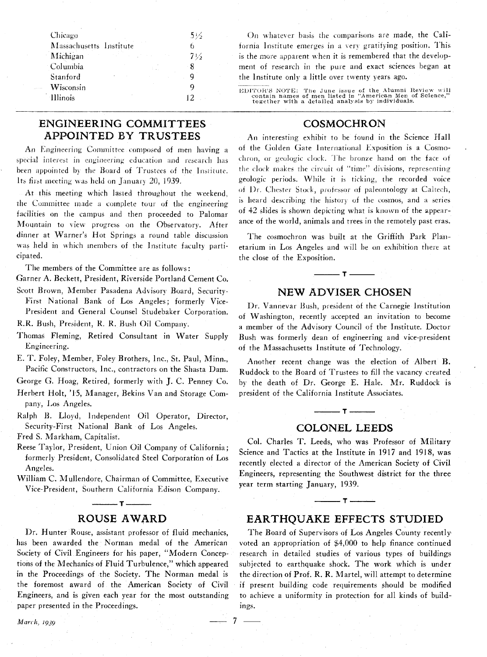| Chicago                 | 5½                                                |
|-------------------------|---------------------------------------------------|
| Massachusetts Institute |                                                   |
| Michigan                | state of the competition of the<br>$7\frac{1}{2}$ |
| Columbia                | - 8                                               |
| Stanford                |                                                   |
| Wisconsin               |                                                   |
| Illinois                |                                                   |

On whatever basis the comparisons are made, the California Institute emerges in a very gratifying position. This is the more apparent when it is remembered that the development of research in the pure and exact sciences began at the Institute only a little over twenty years ago.

EDITOR'S NOTE: The June issue of the Alumni Review will<br>contain names of men listed in "American Men of Science,"<br>together with a detailed analysis by individuals.

# COSMOCHRON

## **ENGINEERING COMMITTEES APPOINTED BY TRUSTEES**

An Engineering Committee composed of men having a special interest in engineering education and research has been appointed by the Board of Trustees of the Institute. Its first meeting was held on January 20, 1939.

At this meeting which lasted throughout the weekend. the Committee made a complete tour of the engineering facilities on the campus and then proceeded to Palomar Mountain to view progress on the Observatory. After dinner at Warner's Hot Springs a round table discussion was held in which members of the Institute faculty participated.

The members of the Committee are as follows:

- Garner A. Beckett, President, Riverside Portland Cement Co.
- Scott Brown, Member Pasadena Advisory Board, Security-First National Bank of Los Angeles; formerly Vice-President and General Counsel Studebaker Corporation.
- R.R. Bush, President, R. R. Bush Oil Company.
- Thomas Fleming, Retired Consultant in Water Supply Engineering.
- E. T. Foley, Member, Foley Brothers, Inc., St. Paul, Minn., Pacific Constructors, Inc., contractors on the Shasta Dam.

George G. Hoag, Retired, formerly with J. C. Penney Co.

- Herbert Holt, '15, Manager, Bekins Van and Storage Company, Los Angeles.
- Ralph B. Lloyd, Independent Oil Operator, Director, Security-First National Bank of Los Angeles.

Fred S. Markham, Capitalist.

- Reese Taylor, President, Union Oil Company of California; formerly President, Consolidated Steel Corporation of Los Angeles.
- William C. Mullendore, Chairman of Committee, Executive Vice-President, Southern California Edison Company.

## **ROUSE AWARD**

 $\begin{tabular}{ll} \multicolumn{2}{c|}{\textbf{\textcolor{red}{--}}\hspace{-2.6ex}} \multicolumn{2}{c|}{\textbf{\textcolor{red}{--}}\hspace{-2.6ex}} & \textbf{\textcolor{red}{--}}\hspace{-2.6ex} & \textbf{\textcolor{red}{--}}\hspace{-2.6ex} & \textbf{\textcolor{red}{--}}\hspace{-2.6ex} & \textbf{\textcolor{red}{--}}\hspace{-2.6ex} & \textbf{\textcolor{red}{--}}\hspace{-2.6ex} & \textbf{\textcolor{red}{--}}\hspace{-2.6ex} & \textbf{\textcolor{red}{--}}\hspace{-2.6ex} & \textbf{\$ 

Dr. Hunter Rouse, assistant professor of fluid mechanics, has been awarded the Norman medal of the American Society of Civil Engineers for his paper, "Modern Conceptions of the Mechanics of Fluid Turbulence," which appeared in the Proceedings of the Society. The Norman medal is the foremost award of the American Society of Civil Engineers, and is given each year for the most outstanding paper presented in the Proceedings.

 $\overline{7}$ 

An interesting exhibit to be found in the Science Hall of the Golden Gate International Exposition is a Cosmochron, or geologic clock. The bronze hand on the face of the clock makes the circuit of "time" divisions, representing geologic periods. While it is ticking, the recorded voice of Dr. Chester Stock, professor of paleontology at Caltech, is heard describing the history of the cosmos, and a series of 42 slides is shown depicting what is known of the appearance of the world, animals and trees in the remotely past eras.

The cosmochron was built at the Griffith Park Planetarium in Los Angeles and will be on exhibition there at the close of the Exposition.

## **NEW ADVISER CHOSEN**

 $\cdot$  T  $-$ 

Dr. Vannevar Bush, president of the Carnegie Institution of Washington, recently accepted an invitation to become a member of the Advisory Council of the Institute. Doctor Bush was formerly dean of engineering and vice-president of the Massachusetts Institute of Technology.

Another recent change was the election of Albert B. Ruddock to the Board of Trustees to fill the vacancy created by the death of Dr. George E. Hale. Mr. Ruddock is president of the California Institute Associates.

#### **COLONEL LEEDS**

 $-7$   $-$ 

Col. Charles T. Leeds, who was Professor of Military Science and Tactics at the Institute in 1917 and 1918, was recently elected a director of the American Society of Civil Engineers, representing the Southwest district for the three vear term starting January, 1939.

## **EARTHOUAKE EFFECTS STUDIED**

 $-7 -$ 

The Board of Supervisors of Los Angeles County recently voted an appropriation of \$4,000 to help finance continued research in detailed studies of various types of buildings subjected to earthquake shock. The work which is under the direction of Prof. R. R. Martel, will attempt to determine if present building code requirements should be modified to achieve a uniformity in protection for all kinds of buildings.

March, 1939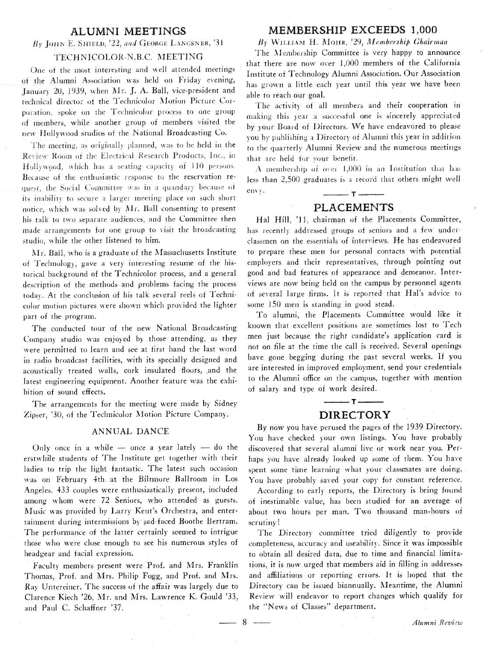## **ALUMNI MEETINGS**

### $B_V$  JOHN E. SHIELD, 22, and GEORGE LANGSNER, 31

## TECHNICOLOR-N.B.C. MEETING

One of the most interesting and well attended meetings of the Alumni Association was held on Friday evening, January 20, 1939, when Mr. J. A. Ball, vice-president and technical director of the Technicolor Motion Picture Corporation, spoke on the Technicolor process to one group of members, while another group of members visited the new Hollywood studios of the National Broadcasting Co.

The meeting, as originally planned, was to be held in the Review Room of the Electrical Research Products, Inc., in Hollywood, which has a seating capacity of 110 persons. Because of the enthusiastic response to the reservation request, the Social Committee was in a quandary because of its inability to secure a larger meeting place on such short notice, which was solved by Mr. Ball consenting to present his talk to two separate audiences, and the Committee then made arrangements for one group to visit the broadcasting studio, while the other listened to him.

Mr. Ball, who is a graduate of the Massachusetts Institute of Technology, gave a very interesting resume of the historical background of the Technicolor process, and a general description of the methods and problems facing the process today. At the conclusion of his talk several reels of Technicolor motion pictures were shown which provided the lighter part of the program.

The conducted tour of the new National Broadcasting Company studio was enjoyed by those attending, as they were permitted to learn and see at first hand the last word in radio broadcast facilities, with its specially designed and acoustically treated walls, cork insulated floors, and the latest engineering equipment. Another feature was the exhibition of sound effects.

The arrangements for the meeting were made by Sidney Zipser, '30, of the Technicolor Motion Picture Company.

#### ANNUAL DANCE

Only once in a while - once a year lately - do the erstwhile students of The Institute get together with their ladies to trip the light fantastic. The latest such occasion was on February 4th at the Biltmore Ballroom in Los Angeles. 433 couples were enthusiastically present, included among whom were 72 Seniors, who attended as guests. Music was provided by Larry Kent's Orchestra, and entertainment during intermissions by sad-faced Boothe Bertram. The performance of the latter certainly seemed to intrigue those who were close enough to see his numerous styles of headgear and facial expression.

Faculty members present were Prof. and Mrs. Franklin Thomas, Prof. and Mrs. Philip Fogg, and Prof. and Mrs. Ray Untereiner. The success of the affair was largely due to Clarence Kiech '26, Mr. and Mrs. Lawrence K. Gould '33, and Paul C. Schaffner '37.

## MEMBERSHIP EXCEEDS 1,000

By WILLIAM H. MOHR, '29, Membership Ghairman

The Membership Committee is very happy to announce that there are now over 1,000 members of the California Institute of Technology Alumni Association. Our Association has grown a little each year until this year we have been able to reach our goal.

The activity of all members and their cooperation in making this year a successful one is sincerely appreciated by your Board of Directors. We have endeavored to please you by publishing a Directory of Alumni this year in addition to the quarterly Alumni Review and the numerous meetings that are held for your benefit.

A membership of over 1,000 in an Institution that has less than 2,500 graduates is a record that others might well envy.  $-T -$ 

### **PLACEMENTS**

Hal Hill, '11, chairman of the Placements Committee, has recently addressed groups of seniors and a few underclassmen on the essentials of interviews. He has endeavored to prepare these men for personal contacts with potential employers and their representatives, through pointing out good and bad features of appearance and demeanor. Interviews are now being held on the campus by personnel agents of several large firms. It is reported that Hal's advice to some 150 men is standing in good stead.

To alumni, the Placements Committee would like it known that excellent positions are sometimes lost to Tech men just because the right candidate's application card is not on file at the time the call is received. Several openings have gone begging during the past several weeks. If you are interested in improved employment, send your credentials to the Alumni office on the campus, together with mention of salary and type of work desired.

# $-T -$ **DIRECTORY**

By now you have perused the pages of the 1939 Directory. You have checked your own listings. You have probably discovered that several alumni live or work near you. Perhaps you have already looked up some of them. You have spent some time learning what your classmates are doing. You have probably saved your copy for constant reference.

According to early reports, the Directory is being found of inestimable value, has been studied for an average of about two hours per man. Two thousand man-hours of scrutiny!

The Directory committee tried diligently to provide completeness, accuracy and useability. Since it was impossible to obtain all desired data, due to time and financial limitations, it is now urged that members aid in filling in addresses and affiliations or reporting errors. It is hoped that the Directory can be issued biannually. Meantime, the Alumni Review will endeavor to report changes which qualify for the "News of Classes" department.

 $8 -$ 

Alumni Review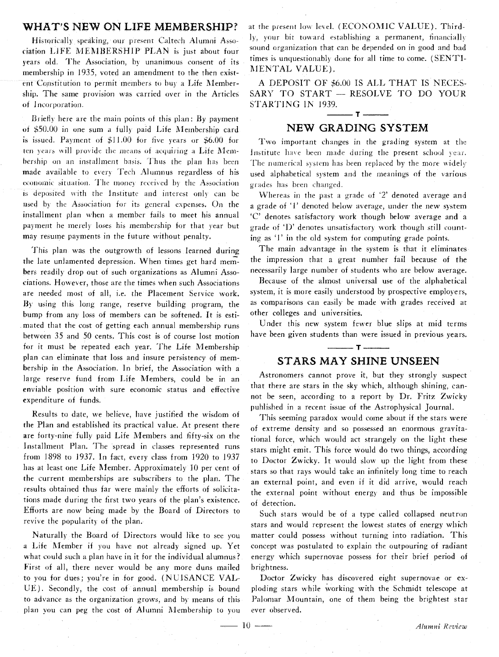## WHAT'S NEW ON LIFE MEMBERSHIP?

Historically speaking, our present Caltech Alumni Association LIFE MEMBERSHIP PLAN is just about four years old. The Association, by unanimous consent of its membership in 1935, voted an amendment to the then existent Constitution to permit members to buy a Life Membership. The same provision was carried over in the Articles of Incorporation.

Briefly here are the main points of this plan: By payment of \$50.00 in one sum a fully paid Life Membership card is issued. Payment of  $$11.00$  for five years or  $$6.00$  for ten years will provide the means of acquiring a Life Membership on an installment basis. Thus the plan has been made available to every Tech Alumnus regardless of his economic situation. The money received by the Association is deposited with the Institute and interest only can be used by the Association for its general expenses. On the installment plan when a member fails to meet his annual payment he merely loses his membership for that year but may resume payments in the future without penalty.

This plan was the outgrowth of lessons learned during the late unlamented depression. When times get hard members readily drop out of such organizations as Alumni Associations. However, those are the times when such Associations are needed most of all, i.e. the Placement Service work. By using this long range, reserve building program, the bump from any loss of members can be softened. It is estimated that the cost of getting each annual membership runs between 35 and 50 cents. This cost is of course lost motion for it must be repeated each year. The Life Membership plan can eliminate that loss and insure persistency of membership in the Association. In brief, the Association with a large reserve fund from Life Members, could be in an enviable position with sure economic status and effective expenditure of funds.

Results to date, we believe, have justified the wisdom of the Plan and established its practical value. At present there are forty-nine fully paid Life Members and fifty-six on the Installment Plan. The spread in classes represented runs from 1898 to 1937. In fact, every class from 1920 to 1937 has at least one Life Member. Approximately 10 per cent of the current memberships are subscribers to the plan. The results obtained thus far were mainly the efforts of solicitations made during the first two years of the plan's existence. Efforts are now being made by the Board of Directors to revive the popularity of the plan.

Naturally the Board of Directors would like to see you a Life Member if you have not already signed up. Yet what could such a plan have in it for the individual alumnus? First of all, there never would be any more duns mailed to you for dues; you're in for good. (NUISANCE VAL-UE). Secondly, the cost of annual membership is bound to advance as the organization grows, and by means of this plan you can peg the cost of Alumni Membership to you

at the present low level. (ECONOMIC VALUE). Thirdly, your bit toward establishing a permanent, financially sound organization that can be depended on in good and had times is unquestionably done for all time to come. (SENTI-MENTAL VALUE).

A DEPOSIT OF \$6.00 IS ALL THAT IS NECES-SARY TO START - RESOLVE TO DO YOUR STARTING IN 1939.

# $T -$ **NEW GRADING SYSTEM**

**Fwo** important changes in the grading system at the Institute have been made during the present school year. The numerical system has been replaced by the more widely used alphabetical system and the meanings of the various grades has been changed.

Whereas in the past a grade of *'2* denoted average arid a grade of '1' denoted below average, under the new system C' denotes satisfactory work though below average and a grade of 'I)' denotes unsatisfactory work though still counting as 'I' in the old system for computing grade points.

The main advantage in the system is that it eliminates the impression that a great number fail because of the necessarily large number of students who are below average.

Because of the almost universal use of the alphabetical system, it is more easily understood by prospective employers, as comparisons can easily be made with grades received at other colleges and universities.

Under this new system fewer blue slips at mid terms have been given students than were issued in previous years.

 $-$  T  $-$ 

## **STARS MAY SHINE UNSEEN**

Astronomers cannot prove it, but they strongly suspect that there are stars in the sky which, although shining, cannot be seen, according to a report by Dr. Fritz Zwicky published in a recent issue of the Astrophysical Journal.

This seeming paradox would come about if the stars were of extreme density and so possessed an enormous gravitational force, which would act strangely on the light these stars might emit. This force would do two things, according to Doctor Zwicky. It would slow up the light from these stars so that rays would take an infinitely long time to reach an external point, and even if it did arrive, would reach the external point without energ; and thus be impossible of detection.

Such stars would be of a type called collapsed neutron stars and would represent the lowest states of energy which matter could possess without turning into radiation. This concept was postulated to explain the outpouring of radiant energy which supernovae possess for their brief period of brightness.

Doctor Zwicky has discovered eight supernovae or exploding stars while working with the Schmidt telescope at Palomar Mountain, one of them being the brightest star ever observed. VAL-<br>
Doctor Zwicky has discovered eight supernovae or ex-<br>
bound ploding stars while working with the Schmidt telescope at<br>
of this Palomar Mountain, one of them being the brightest star<br>
o you ever observed.<br>
<u>Alumni Rev</u>